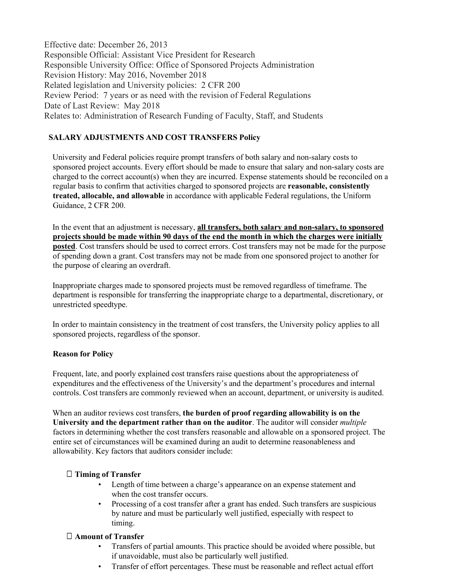Effective date: December 26, 2013 Responsible Official: Assistant Vice President for Research Responsible University Office: Office of Sponsored Projects Administration Revision History: May 2016, November 2018 Related legislation and University policies: 2 CFR 200 Review Period: 7 years or as need with the revision of Federal Regulations Date of Last Review: May 2018 Relates to: Administration of Research Funding of Faculty, Staff, and Students

# **SALARY ADJUSTMENTS AND COST TRANSFERS Policy**

University and Federal policies require prompt transfers of both salary and non-salary costs to sponsored project accounts. Every effort should be made to ensure that salary and non-salary costs are charged to the correct account(s) when they are incurred. Expense statements should be reconciled on a regular basis to confirm that activities charged to sponsored projects are **reasonable, consistently treated, allocable, and allowable** in accordance with applicable Federal regulations, the Uniform Guidance, 2 CFR 200.

In the event that an adjustment is necessary, **all transfers, both salary and non-salary, to sponsored projects should be made within 90 days of the end the month in which the charges were initially posted**. Cost transfers should be used to correct errors. Cost transfers may not be made for the purpose of spending down a grant. Cost transfers may not be made from one sponsored project to another for the purpose of clearing an overdraft.

Inappropriate charges made to sponsored projects must be removed regardless of timeframe. The department is responsible for transferring the inappropriate charge to a departmental, discretionary, or unrestricted speedtype.

In order to maintain consistency in the treatment of cost transfers, the University policy applies to all sponsored projects, regardless of the sponsor.

# **Reason for Policy**

Frequent, late, and poorly explained cost transfers raise questions about the appropriateness of expenditures and the effectiveness of the University's and the department's procedures and internal controls. Cost transfers are commonly reviewed when an account, department, or university is audited.

When an auditor reviews cost transfers, **the burden of proof regarding allowability is on the University and the department rather than on the auditor**. The auditor will consider *multiple* factors in determining whether the cost transfers reasonable and allowable on a sponsored project. The entire set of circumstances will be examined during an audit to determine reasonableness and allowability. Key factors that auditors consider include:

# □ **Timing of Transfer**

- Length of time between a charge's appearance on an expense statement and when the cost transfer occurs.
- Processing of a cost transfer after a grant has ended. Such transfers are suspicious by nature and must be particularly well justified, especially with respect to timing.

# □ **Amount of Transfer**

- Transfers of partial amounts. This practice should be avoided where possible, but if unavoidable, must also be particularly well justified.
- Transfer of effort percentages. These must be reasonable and reflect actual effort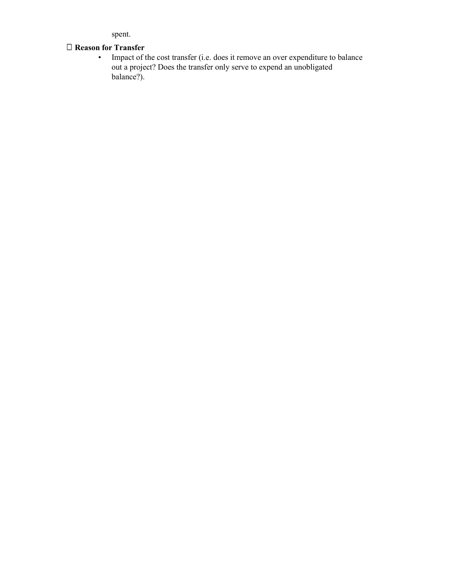spent.

# □ **Reason for Transfer**

• Impact of the cost transfer (i.e. does it remove an over expenditure to balance out a project? Does the transfer only serve to expend an unobligated balance?).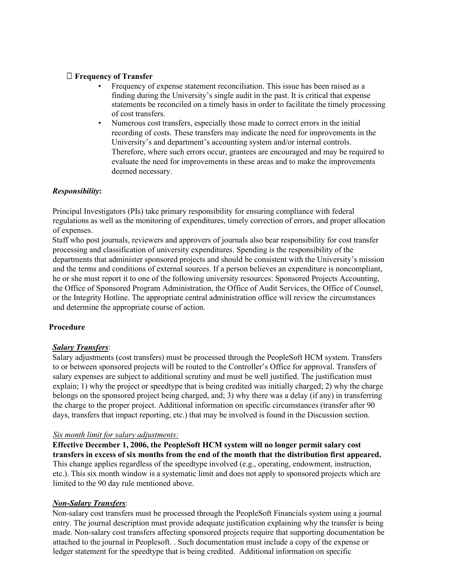# □ **Frequency of Transfer**

- Frequency of expense statement reconciliation. This issue has been raised as a finding during the University's single audit in the past. It is critical that expense statements be reconciled on a timely basis in order to facilitate the timely processing of cost transfers.
- Numerous cost transfers, especially those made to correct errors in the initial recording of costs. These transfers may indicate the need for improvements in the University's and department's accounting system and/or internal controls. Therefore, where such errors occur, grantees are encouraged and may be required to evaluate the need for improvements in these areas and to make the improvements deemed necessary.

### *Responsibility***:**

Principal Investigators (PIs) take primary responsibility for ensuring compliance with federal regulations as well as the monitoring of expenditures, timely correction of errors, and proper allocation of expenses.

Staff who post journals, reviewers and approvers of journals also bear responsibility for cost transfer processing and classification of university expenditures. Spending is the responsibility of the departments that administer sponsored projects and should be consistent with the University's mission and the terms and conditions of external sources. If a person believes an expenditure is noncompliant, he or she must report it to one of the following university resources: Sponsored Projects Accounting, the Office of Sponsored Program Administration, the Office of Audit Services, the Office of Counsel, or the Integrity Hotline. The appropriate central administration office will review the circumstances and determine the appropriate course of action.

### **Procedure**

### *Salary Transfers*:

Salary adjustments (cost transfers) must be processed through the PeopleSoft HCM system. Transfers to or between sponsored projects will be routed to the Controller's Office for approval. Transfers of salary expenses are subject to additional scrutiny and must be well justified. The justification must explain; 1) why the project or speedtype that is being credited was initially charged; 2) why the charge belongs on the sponsored project being charged, and; 3) why there was a delay (if any) in transferring the charge to the proper project. Additional information on specific circumstances (transfer after 90 days, transfers that impact reporting, etc.) that may be involved is found in the Discussion section.

### *Six month limit for salary adjustments:*

**Effective December 1, 2006, the PeopleSoft HCM system will no longer permit salary cost transfers in excess of six months from the end of the month that the distribution first appeared.** This change applies regardless of the speedtype involved (e.g., operating, endowment, instruction, etc.). This six month window is a systematic limit and does not apply to sponsored projects which are limited to the 90 day rule mentioned above.

### *Non-Salary Transfers*:

Non-salary cost transfers must be processed through the PeopleSoft Financials system using a journal entry. The journal description must provide adequate justification explaining why the transfer is being made. Non-salary cost transfers affecting sponsored projects require that supporting documentation be attached to the journal in Peoplesoft. . Such documentation must include a copy of the expense or ledger statement for the speedtype that is being credited. Additional information on specific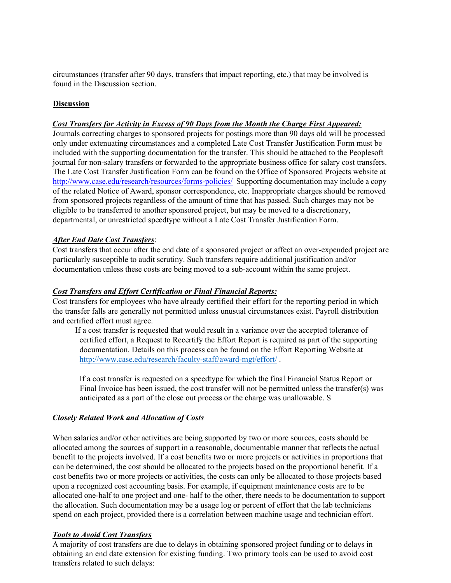circumstances (transfer after 90 days, transfers that impact reporting, etc.) that may be involved is found in the Discussion section.

### **Discussion**

### *Cost Transfers for Activity in Excess of 90 Days from the Month the Charge First Appeared:*

Journals correcting charges to sponsored projects for postings more than 90 days old will be processed only under extenuating circumstances and a completed Late Cost Transfer Justification Form must be included with the supporting documentation for the transfer. This should be attached to the Peoplesoft journal for non-salary transfers or forwarded to the appropriate business office for salary cost transfers. The Late Cost Transfer Justification Form can be found on the Office of Sponsored Projects website at <http://www.case.edu/research/resources/forms-policies/> Supporting documentation may include a copy of the related Notice of Award, sponsor correspondence, etc. Inappropriate charges should be removed from sponsored projects regardless of the amount of time that has passed. Such charges may not be eligible to be transferred to another sponsored project, but may be moved to a discretionary, departmental, or unrestricted speedtype without a Late Cost Transfer Justification Form.

### *After End Date Cost Transfers*:

Cost transfers that occur after the end date of a sponsored project or affect an over-expended project are particularly susceptible to audit scrutiny. Such transfers require additional justification and/or documentation unless these costs are being moved to a sub-account within the same project.

#### *Cost Transfers and Effort Certification or Final Financial Reports:*

Cost transfers for employees who have already certified their effort for the reporting period in which the transfer falls are generally not permitted unless unusual circumstances exist. Payroll distribution and certified effort must agree.

If a cost transfer is requested that would result in a variance over the accepted tolerance of certified effort, a Request to Recertify the Effort Report is required as part of the supporting documentation. Details on this process can be found on the Effort Reporting Website at <http://www.case.edu/research/faculty-staff/award-mgt/effort/> .

If a cost transfer is requested on a speedtype for which the final Financial Status Report or Final Invoice has been issued, the cost transfer will not be permitted unless the transfer(s) was anticipated as a part of the close out process or the charge was unallowable. S

#### *Closely Related Work and Allocation of Costs*

When salaries and/or other activities are being supported by two or more sources, costs should be allocated among the sources of support in a reasonable, documentable manner that reflects the actual benefit to the projects involved. If a cost benefits two or more projects or activities in proportions that can be determined, the cost should be allocated to the projects based on the proportional benefit. If a cost benefits two or more projects or activities, the costs can only be allocated to those projects based upon a recognized cost accounting basis. For example, if equipment maintenance costs are to be allocated one-half to one project and one- half to the other, there needs to be documentation to support the allocation. Such documentation may be a usage log or percent of effort that the lab technicians spend on each project, provided there is a correlation between machine usage and technician effort.

### *Tools to Avoid Cost Transfers*

A majority of cost transfers are due to delays in obtaining sponsored project funding or to delays in obtaining an end date extension for existing funding. Two primary tools can be used to avoid cost transfers related to such delays: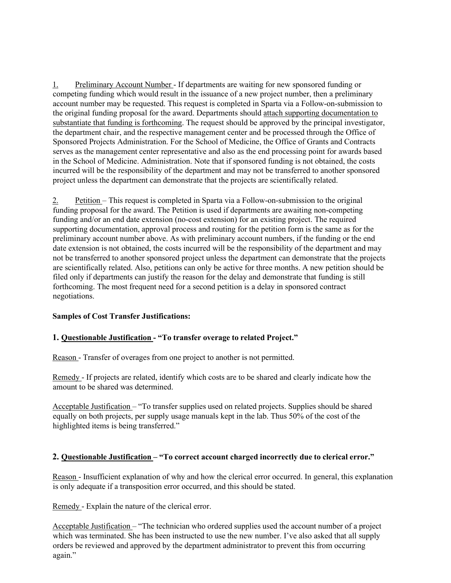1. Preliminary Account Number - If departments are waiting for new sponsored funding or competing funding which would result in the issuance of a new project number, then a preliminary account number may be requested. This request is completed in Sparta via a Follow-on-submission to the original funding proposal for the award. Departments should attach supporting documentation to substantiate that funding is forthcoming. The request should be approved by the principal investigator, the department chair, and the respective management center and be processed through the Office of Sponsored Projects Administration. For the School of Medicine, the Office of Grants and Contracts serves as the management center representative and also as the end processing point for awards based in the School of Medicine. Administration. Note that if sponsored funding is not obtained, the costs incurred will be the responsibility of the department and may not be transferred to another sponsored project unless the department can demonstrate that the projects are scientifically related.

2. Petition – This request is completed in Sparta via a Follow-on-submission to the original funding proposal for the award. The Petition is used if departments are awaiting non-competing funding and/or an end date extension (no-cost extension) for an existing project. The required supporting documentation, approval process and routing for the petition form is the same as for the preliminary account number above. As with preliminary account numbers, if the funding or the end date extension is not obtained, the costs incurred will be the responsibility of the department and may not be transferred to another sponsored project unless the department can demonstrate that the projects are scientifically related. Also, petitions can only be active for three months. A new petition should be filed only if departments can justify the reason for the delay and demonstrate that funding is still forthcoming. The most frequent need for a second petition is a delay in sponsored contract negotiations.

### **Samples of Cost Transfer Justifications:**

### **1. Questionable Justification - "To transfer overage to related Project."**

Reason - Transfer of overages from one project to another is not permitted.

Remedy - If projects are related, identify which costs are to be shared and clearly indicate how the amount to be shared was determined.

Acceptable Justification – "To transfer supplies used on related projects. Supplies should be shared equally on both projects, per supply usage manuals kept in the lab. Thus 50% of the cost of the highlighted items is being transferred."

### **2. Questionable Justification – "To correct account charged incorrectly due to clerical error."**

Reason - Insufficient explanation of why and how the clerical error occurred. In general, this explanation is only adequate if a transposition error occurred, and this should be stated.

Remedy - Explain the nature of the clerical error.

Acceptable Justification – "The technician who ordered supplies used the account number of a project which was terminated. She has been instructed to use the new number. I've also asked that all supply orders be reviewed and approved by the department administrator to prevent this from occurring again."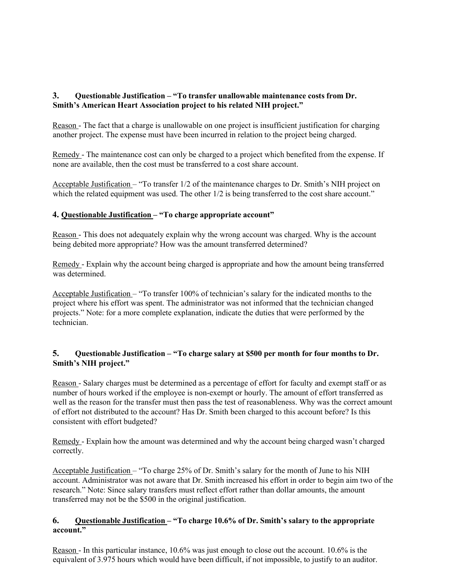# **3. Questionable Justification – "To transfer unallowable maintenance costs from Dr. Smith's American Heart Association project to his related NIH project."**

Reason - The fact that a charge is unallowable on one project is insufficient justification for charging another project. The expense must have been incurred in relation to the project being charged.

Remedy - The maintenance cost can only be charged to a project which benefited from the expense. If none are available, then the cost must be transferred to a cost share account.

Acceptable Justification – "To transfer 1/2 of the maintenance charges to Dr. Smith's NIH project on which the related equipment was used. The other  $1/2$  is being transferred to the cost share account."

# **4. Questionable Justification – "To charge appropriate account"**

Reason - This does not adequately explain why the wrong account was charged. Why is the account being debited more appropriate? How was the amount transferred determined?

Remedy - Explain why the account being charged is appropriate and how the amount being transferred was determined.

Acceptable Justification – "To transfer 100% of technician's salary for the indicated months to the project where his effort was spent. The administrator was not informed that the technician changed projects." Note: for a more complete explanation, indicate the duties that were performed by the technician.

# **5. Questionable Justification – "To charge salary at \$500 per month for four months to Dr. Smith's NIH project."**

Reason - Salary charges must be determined as a percentage of effort for faculty and exempt staff or as number of hours worked if the employee is non-exempt or hourly. The amount of effort transferred as well as the reason for the transfer must then pass the test of reasonableness. Why was the correct amount of effort not distributed to the account? Has Dr. Smith been charged to this account before? Is this consistent with effort budgeted?

Remedy - Explain how the amount was determined and why the account being charged wasn't charged correctly.

Acceptable Justification – "To charge 25% of Dr. Smith's salary for the month of June to his NIH account. Administrator was not aware that Dr. Smith increased his effort in order to begin aim two of the research." Note: Since salary transfers must reflect effort rather than dollar amounts, the amount transferred may not be the \$500 in the original justification.

# **6. Questionable Justification – "To charge 10.6% of Dr. Smith's salary to the appropriate account."**

Reason - In this particular instance, 10.6% was just enough to close out the account. 10.6% is the equivalent of 3.975 hours which would have been difficult, if not impossible, to justify to an auditor.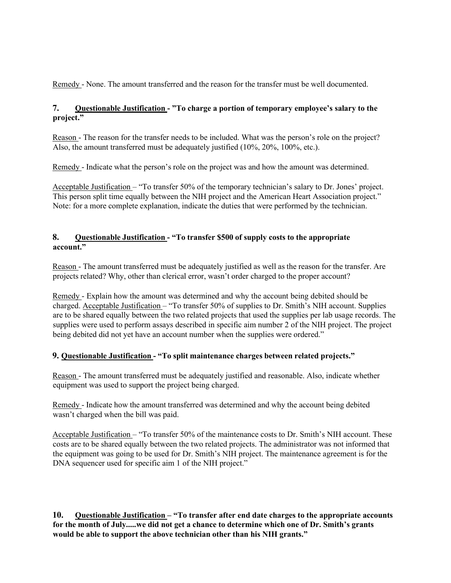Remedy - None. The amount transferred and the reason for the transfer must be well documented.

# **7. Questionable Justification - "To charge a portion of temporary employee's salary to the project."**

Reason - The reason for the transfer needs to be included. What was the person's role on the project? Also, the amount transferred must be adequately justified (10%, 20%, 100%, etc.).

Remedy - Indicate what the person's role on the project was and how the amount was determined.

Acceptable Justification – "To transfer 50% of the temporary technician's salary to Dr. Jones' project. This person split time equally between the NIH project and the American Heart Association project." Note: for a more complete explanation, indicate the duties that were performed by the technician.

# **8. Questionable Justification - "To transfer \$500 of supply costs to the appropriate account."**

Reason - The amount transferred must be adequately justified as well as the reason for the transfer. Are projects related? Why, other than clerical error, wasn't order charged to the proper account?

Remedy - Explain how the amount was determined and why the account being debited should be charged. Acceptable Justification - "To transfer 50% of supplies to Dr. Smith's NIH account. Supplies are to be shared equally between the two related projects that used the supplies per lab usage records. The supplies were used to perform assays described in specific aim number 2 of the NIH project. The project being debited did not yet have an account number when the supplies were ordered."

# **9. Questionable Justification - "To split maintenance charges between related projects."**

Reason - The amount transferred must be adequately justified and reasonable. Also, indicate whether equipment was used to support the project being charged.

Remedy - Indicate how the amount transferred was determined and why the account being debited wasn't charged when the bill was paid.

Acceptable Justification – "To transfer 50% of the maintenance costs to Dr. Smith's NIH account. These costs are to be shared equally between the two related projects. The administrator was not informed that the equipment was going to be used for Dr. Smith's NIH project. The maintenance agreement is for the DNA sequencer used for specific aim 1 of the NIH project."

**10. Questionable Justification – "To transfer after end date charges to the appropriate accounts for the month of July.....we did not get a chance to determine which one of Dr. Smith's grants would be able to support the above technician other than his NIH grants."**